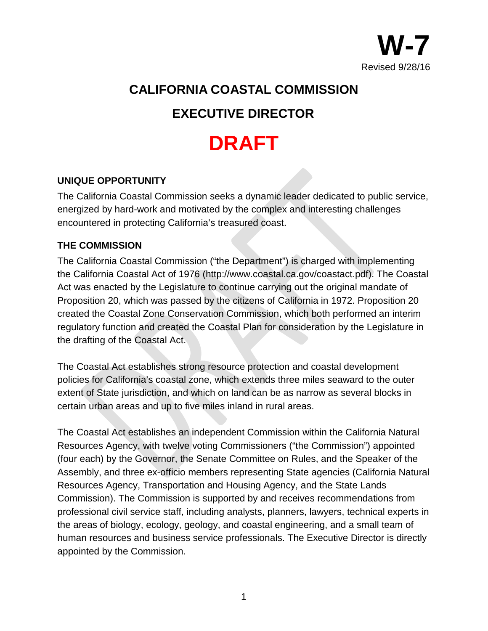

# **CALIFORNIA COASTAL COMMISSION**

# **EXECUTIVE DIRECTOR**

# **DRAFT**

## **UNIQUE OPPORTUNITY**

The California Coastal Commission seeks a dynamic leader dedicated to public service, energized by hard-work and motivated by the complex and interesting challenges encountered in protecting California's treasured coast.

#### **THE COMMISSION**

The California Coastal Commission ("the Department") is charged with implementing the California Coastal Act of 1976 (http://www.coastal.ca.gov/coastact.pdf). The Coastal Act was enacted by the Legislature to continue carrying out the original mandate of Proposition 20, which was passed by the citizens of California in 1972. Proposition 20 created the Coastal Zone Conservation Commission, which both performed an interim regulatory function and created the Coastal Plan for consideration by the Legislature in the drafting of the Coastal Act.

The Coastal Act establishes strong resource protection and coastal development policies for California's coastal zone, which extends three miles seaward to the outer extent of State jurisdiction, and which on land can be as narrow as several blocks in certain urban areas and up to five miles inland in rural areas.

The Coastal Act establishes an independent Commission within the California Natural Resources Agency, with twelve voting Commissioners ("the Commission") appointed (four each) by the Governor, the Senate Committee on Rules, and the Speaker of the Assembly, and three ex-officio members representing State agencies (California Natural Resources Agency, Transportation and Housing Agency, and the State Lands Commission). The Commission is supported by and receives recommendations from professional civil service staff, including analysts, planners, lawyers, technical experts in the areas of biology, ecology, geology, and coastal engineering, and a small team of human resources and business service professionals. The Executive Director is directly appointed by the Commission.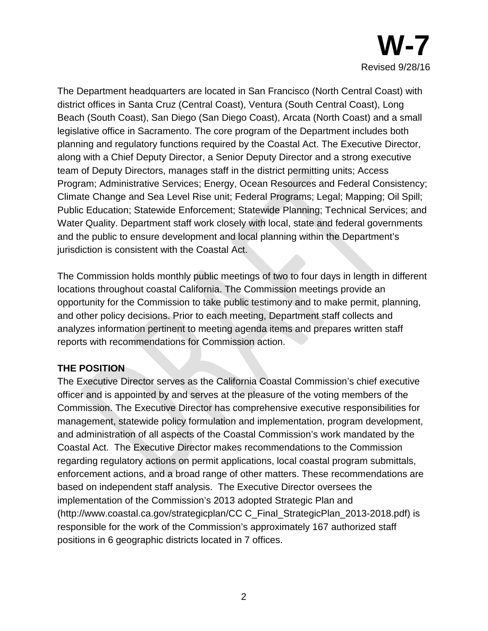

The Department headquarters are located in San Francisco (North Central Coast) with district offices in Santa Cruz (Central Coast), Ventura (South Central Coast), Long Beach (South Coast), San Diego (San Diego Coast), Arcata (North Coast) and a small legislative office in Sacramento. The core program of the Department includes both planning and regulatory functions required by the Coastal Act. The Executive Director, along with a Chief Deputy Director, a Senior Deputy Director and a strong executive team of Deputy Directors, manages staff in the district permitting units; Access Program; Administrative Services; Energy, Ocean Resources and Federal Consistency; Climate Change and Sea Level Rise unit; Federal Programs; Legal; Mapping; Oil Spill; Public Education; Statewide Enforcement; Statewide Planning; Technical Services; and Water Quality. Department staff work closely with local, state and federal governments and the public to ensure development and local planning within the Department's jurisdiction is consistent with the Coastal Act.

The Commission holds monthly public meetings of two to four days in length in different locations throughout coastal California. The Commission meetings provide an opportunity for the Commission to take public testimony and to make permit, planning, and other policy decisions. Prior to each meeting, Department staff collects and analyzes information pertinent to meeting agenda items and prepares written staff reports with recommendations for Commission action.

#### **THE POSITION**

The Executive Director serves as the California Coastal Commission's chief executive officer and is appointed by and serves at the pleasure of the voting members of the Commission. The Executive Director has comprehensive executive responsibilities for management, statewide policy formulation and implementation, program development, and administration of all aspects of the Coastal Commission's work mandated by the Coastal Act. The Executive Director makes recommendations to the Commission regarding regulatory actions on permit applications, local coastal program submittals, enforcement actions, and a broad range of other matters. These recommendations are based on independent staff analysis. The Executive Director oversees the implementation of the Commission's 2013 adopted Strategic Plan and (http://www.coastal.ca.gov/strategicplan/CC C\_Final\_StrategicPlan\_2013-2018.pdf) is responsible for the work of the Commission's approximately 167 authorized staff positions in 6 geographic districts located in 7 offices.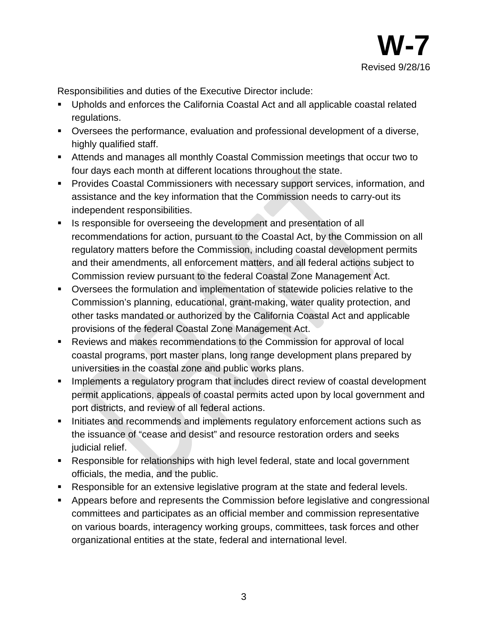

Responsibilities and duties of the Executive Director include:

- Upholds and enforces the California Coastal Act and all applicable coastal related regulations.
- Oversees the performance, evaluation and professional development of a diverse, highly qualified staff.
- Attends and manages all monthly Coastal Commission meetings that occur two to four days each month at different locations throughout the state.
- **Provides Coastal Commissioners with necessary support services, information, and** assistance and the key information that the Commission needs to carry-out its independent responsibilities.
- **IS responsible for overseeing the development and presentation of all** recommendations for action, pursuant to the Coastal Act, by the Commission on all regulatory matters before the Commission, including coastal development permits and their amendments, all enforcement matters, and all federal actions subject to Commission review pursuant to the federal Coastal Zone Management Act.
- Oversees the formulation and implementation of statewide policies relative to the Commission's planning, educational, grant-making, water quality protection, and other tasks mandated or authorized by the California Coastal Act and applicable provisions of the federal Coastal Zone Management Act.
- Reviews and makes recommendations to the Commission for approval of local coastal programs, port master plans, long range development plans prepared by universities in the coastal zone and public works plans.
- **IMPLEMENTE IMPLEMENT IS a requistory program that includes direct review of coastal development** permit applications, appeals of coastal permits acted upon by local government and port districts, and review of all federal actions.
- **Initiates and recommends and implements regulatory enforcement actions such as** the issuance of "cease and desist" and resource restoration orders and seeks judicial relief.
- Responsible for relationships with high level federal, state and local government officials, the media, and the public.
- Responsible for an extensive legislative program at the state and federal levels.
- Appears before and represents the Commission before legislative and congressional committees and participates as an official member and commission representative on various boards, interagency working groups, committees, task forces and other organizational entities at the state, federal and international level.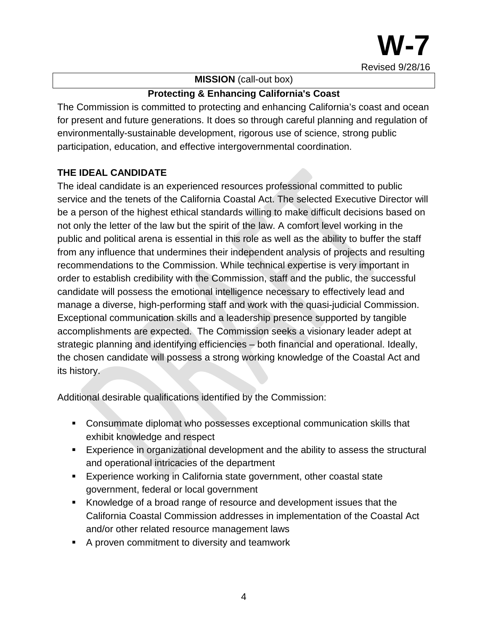

#### **MISSION** (call-out box)

#### **Protecting & Enhancing California's Coast**

The Commission is committed to protecting and enhancing California's coast and ocean for present and future generations. It does so through careful planning and regulation of environmentally-sustainable development, rigorous use of science, strong public participation, education, and effective intergovernmental coordination.

## **THE IDEAL CANDIDATE**

The ideal candidate is an experienced resources professional committed to public service and the tenets of the California Coastal Act. The selected Executive Director will be a person of the highest ethical standards willing to make difficult decisions based on not only the letter of the law but the spirit of the law. A comfort level working in the public and political arena is essential in this role as well as the ability to buffer the staff from any influence that undermines their independent analysis of projects and resulting recommendations to the Commission. While technical expertise is very important in order to establish credibility with the Commission, staff and the public, the successful candidate will possess the emotional intelligence necessary to effectively lead and manage a diverse, high-performing staff and work with the quasi-judicial Commission. Exceptional communication skills and a leadership presence supported by tangible accomplishments are expected. The Commission seeks a visionary leader adept at strategic planning and identifying efficiencies – both financial and operational. Ideally, the chosen candidate will possess a strong working knowledge of the Coastal Act and its history.

Additional desirable qualifications identified by the Commission:

- Consummate diplomat who possesses exceptional communication skills that exhibit knowledge and respect
- Experience in organizational development and the ability to assess the structural and operational intricacies of the department
- Experience working in California state government, other coastal state government, federal or local government
- Knowledge of a broad range of resource and development issues that the California Coastal Commission addresses in implementation of the Coastal Act and/or other related resource management laws
- A proven commitment to diversity and teamwork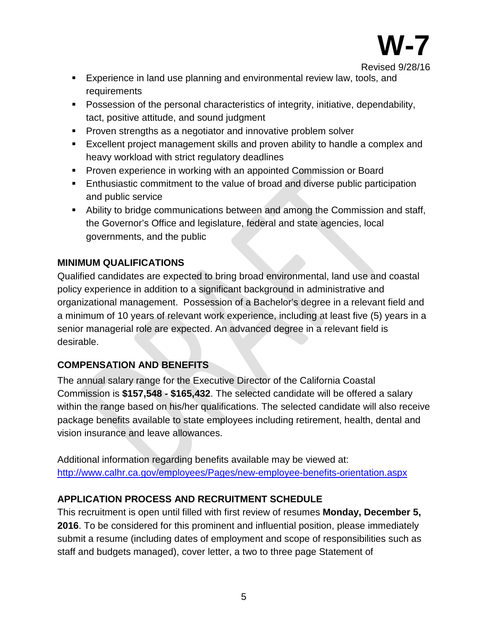

Revised 9/28/16

- **Experience in land use planning and environmental review law, tools, and** requirements
- Possession of the personal characteristics of integrity, initiative, dependability, tact, positive attitude, and sound judgment
- **Proven strengths as a negotiator and innovative problem solver**
- Excellent project management skills and proven ability to handle a complex and heavy workload with strict regulatory deadlines
- **Proven experience in working with an appointed Commission or Board**
- **Enthusiastic commitment to the value of broad and diverse public participation** and public service
- Ability to bridge communications between and among the Commission and staff, the Governor's Office and legislature, federal and state agencies, local governments, and the public

# **MINIMUM QUALIFICATIONS**

Qualified candidates are expected to bring broad environmental, land use and coastal policy experience in addition to a significant background in administrative and organizational management. Possession of a Bachelor's degree in a relevant field and a minimum of 10 years of relevant work experience, including at least five (5) years in a senior managerial role are expected. An advanced degree in a relevant field is desirable.

# **COMPENSATION AND BENEFITS**

The annual salary range for the Executive Director of the California Coastal Commission is **\$157,548 - \$165,432**. The selected candidate will be offered a salary within the range based on his/her qualifications. The selected candidate will also receive package benefits available to state employees including retirement, health, dental and vision insurance and leave allowances.

Additional information regarding benefits available may be viewed at: <http://www.calhr.ca.gov/employees/Pages/new-employee-benefits-orientation.aspx>

# **APPLICATION PROCESS AND RECRUITMENT SCHEDULE**

This recruitment is open until filled with first review of resumes **Monday, December 5, 2016**. To be considered for this prominent and influential position, please immediately submit a resume (including dates of employment and scope of responsibilities such as staff and budgets managed), cover letter, a two to three page Statement of